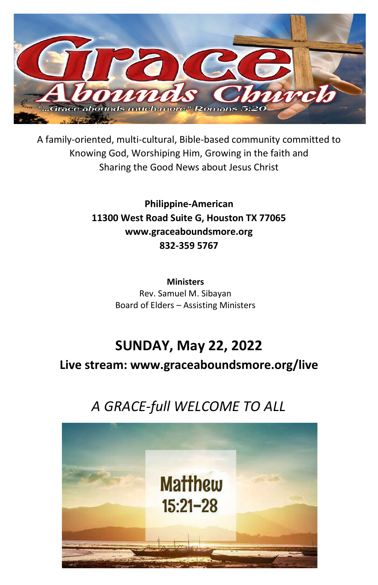

A family-oriented, multi-cultural, Bible-based community committed to Knowing God, Worshiping Him, Growing in the faith and Sharing the Good News about Jesus Christ

> **Philippine-American 11300 West Road Suite G, Houston TX 77065 www.graceaboundsmore.org 832-359 5767**

> > **Ministers** Rev. Samuel M. Sibayan Board of Elders – Assisting Ministers

# **SUNDAY, May 22, 2022**

**Live stream: www.graceaboundsmore.org/live**

# *A GRACE-full WELCOME TO ALL*

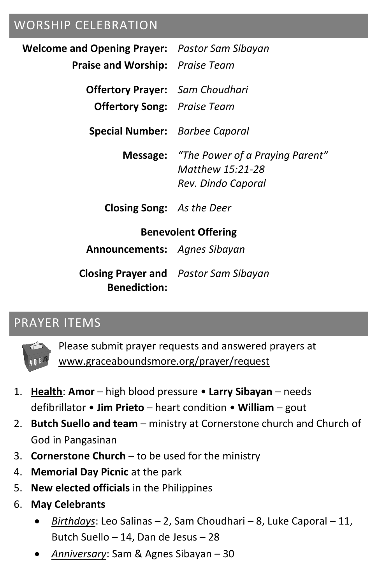# WORSHIP CELEBRATION

| <b>Welcome and Opening Prayer:</b> Pastor Sam Sibayan |                                                                                           |
|-------------------------------------------------------|-------------------------------------------------------------------------------------------|
| <b>Praise and Worship:</b> Praise Team                |                                                                                           |
| <b>Offertory Prayer:</b> Sam Choudhari                |                                                                                           |
| <b>Offertory Song:</b> Praise Team                    |                                                                                           |
| Special Number: Barbee Caporal                        |                                                                                           |
|                                                       | <b>Message:</b> "The Power of a Praying Parent"<br>Matthew 15:21-28<br>Rev. Dindo Caporal |
| <b>Closing Song:</b> As the Deer                      |                                                                                           |
| <b>Benevolent Offering</b>                            |                                                                                           |
| <b>Announcements:</b> Agnes Sibayan                   |                                                                                           |
| <b>Benediction:</b>                                   | <b>Closing Prayer and</b> Pastor Sam Sibayan                                              |

#### PRAYER ITEMS



Please submit prayer requests and answered prayers at www.graceaboundsmore.org/prayer/request

- 1. **Health**: **Amor** high blood pressure **Larry Sibayan** needs defibrillator • **Jim Prieto** – heart condition • **William** – gout
- 2. **Butch Suello and team** ministry at Cornerstone church and Church of God in Pangasinan
- 3. **Cornerstone Church** to be used for the ministry
- 4. **Memorial Day Picnic** at the park
- 5. **New elected officials** in the Philippines
- 6. **May Celebrants**
	- *Birthdays*: Leo Salinas 2, Sam Choudhari 8, Luke Caporal 11, Butch Suello – 14, Dan de Jesus – 28
	- *Anniversary*: Sam & Agnes Sibayan 30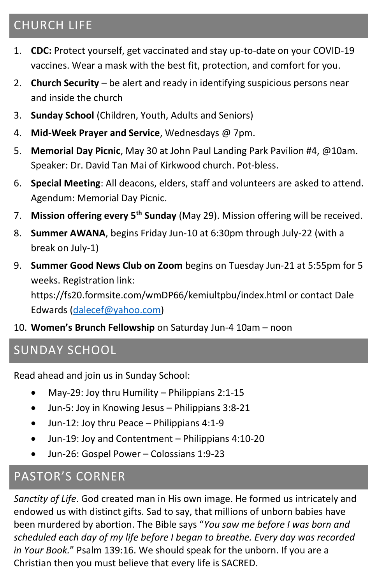# CHURCH LIFE

- 1. **CDC:** Protect yourself, get vaccinated and stay up-to-date on your COVID-19 vaccines. Wear a mask with the best fit, protection, and comfort for you.
- 2. **Church Security** be alert and ready in identifying suspicious persons near and inside the church
- 3. **Sunday School** (Children, Youth, Adults and Seniors)
- 4. **Mid-Week Prayer and Service**, Wednesdays @ 7pm.
- 5. **Memorial Day Picnic**, May 30 at John Paul Landing Park Pavilion #4, @10am. Speaker: Dr. David Tan Mai of Kirkwood church. Pot-bless.
- 6. **Special Meeting**: All deacons, elders, staff and volunteers are asked to attend. Agendum: Memorial Day Picnic.
- 7. **Mission offering every 5th Sunday** (May 29). Mission offering will be received.
- 8. **Summer AWANA**, begins Friday Jun-10 at 6:30pm through July-22 (with a break on July-1)
- 9. **Summer Good News Club on Zoom** begins on Tuesday Jun-21 at 5:55pm for 5 weeks. Registration link:

https://fs20.formsite.com/wmDP66/kemiultpbu/index.html or contact Dale Edwards [\(dalecef@yahoo.com\)](mailto:dalecef@yahoo.com)

10. **Women's Brunch Fellowship** on Saturday Jun-4 10am – noon

### SUNDAY SCHOOL

Read ahead and join us in Sunday School:

- May-29: Joy thru Humility Philippians 2:1-15
- Jun-5: Joy in Knowing Jesus Philippians 3:8-21
- Jun-12: Joy thru Peace Philippians 4:1-9
- Jun-19: Joy and Contentment Philippians 4:10-20
- Jun-26: Gospel Power Colossians 1:9-23

### PASTOR'S CORNER

*Sanctity of Life*. God created man in His own image. He formed us intricately and endowed us with distinct gifts. Sad to say, that millions of unborn babies have been murdered by abortion. The Bible says "*You saw me before I was born and scheduled each day of my life before I began to breathe. Every day was recorded in Your Book.*" Psalm 139:16. We should speak for the unborn. If you are a Christian then you must believe that every life is SACRED.